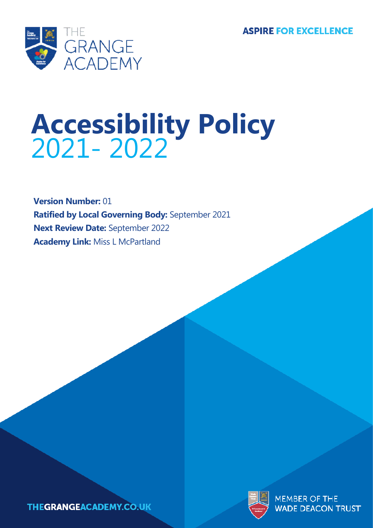**ASPIRE FOR EXCELLENCE** 



# **Accessibility Policy** 2021- 2022

**Version Number:** 01 **Ratified by Local Governing Body:** September 2021 **Next Review Date:** September 2022 **Academy Link:** Miss L McPartland



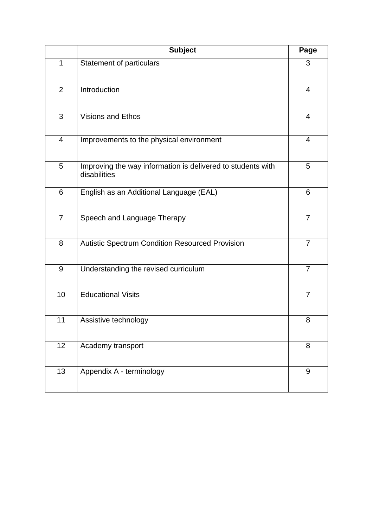|                | <b>Subject</b>                                                              | Page           |
|----------------|-----------------------------------------------------------------------------|----------------|
| $\mathbf{1}$   | <b>Statement of particulars</b>                                             | 3              |
| $\overline{2}$ | Introduction                                                                | 4              |
| 3              | <b>Visions and Ethos</b>                                                    | $\overline{4}$ |
| $\overline{4}$ | Improvements to the physical environment                                    | $\overline{4}$ |
| 5              | Improving the way information is delivered to students with<br>disabilities | 5              |
| 6              | English as an Additional Language (EAL)                                     | 6              |
| $\overline{7}$ | Speech and Language Therapy                                                 | $\overline{7}$ |
| 8              | <b>Autistic Spectrum Condition Resourced Provision</b>                      | $\overline{7}$ |
| $9\,$          | Understanding the revised curriculum                                        | $\overline{7}$ |
| 10             | <b>Educational Visits</b>                                                   | 7              |
| 11             | Assistive technology                                                        | 8              |
| 12             | Academy transport                                                           | 8              |
| 13             | Appendix A - terminology                                                    | 9              |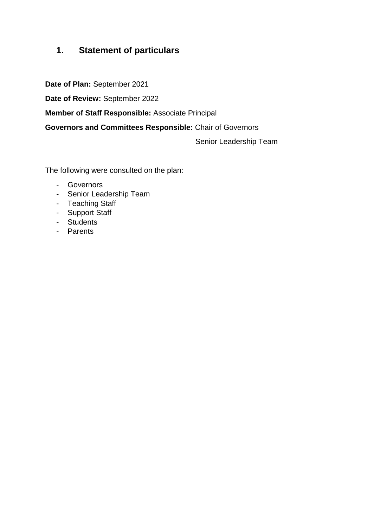# **1. Statement of particulars**

**Date of Plan:** September 2021

**Date of Review:** September 2022

**Member of Staff Responsible:** Associate Principal

**Governors and Committees Responsible:** Chair of Governors

Senior Leadership Team

The following were consulted on the plan:

- Governors
- Senior Leadership Team
- Teaching Staff
- Support Staff
- Students
- Parents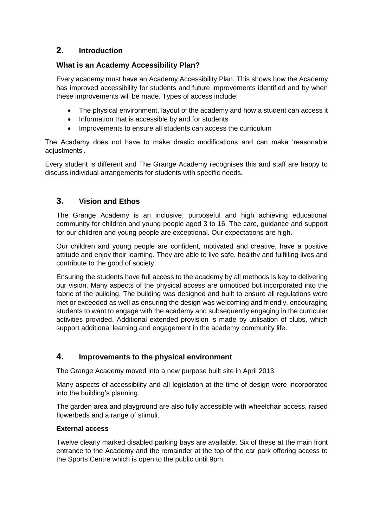## **2. Introduction**

## **What is an Academy Accessibility Plan?**

Every academy must have an Academy Accessibility Plan. This shows how the Academy has improved accessibility for students and future improvements identified and by when these improvements will be made. Types of access include:

- The physical environment, layout of the academy and how a student can access it
- Information that is accessible by and for students
- Improvements to ensure all students can access the curriculum

The Academy does not have to make drastic modifications and can make 'reasonable adjustments'.

Every student is different and The Grange Academy recognises this and staff are happy to discuss individual arrangements for students with specific needs.

## **3. Vision and Ethos**

The Grange Academy is an inclusive, purposeful and high achieving educational community for children and young people aged 3 to 16. The care, guidance and support for our children and young people are exceptional. Our expectations are high.

Our children and young people are confident, motivated and creative, have a positive attitude and enjoy their learning. They are able to live safe, healthy and fulfilling lives and contribute to the good of society.

Ensuring the students have full access to the academy by all methods is key to delivering our vision. Many aspects of the physical access are unnoticed but incorporated into the fabric of the building. The building was designed and built to ensure all regulations were met or exceeded as well as ensuring the design was welcoming and friendly, encouraging students to want to engage with the academy and subsequently engaging in the curricular activities provided. Additional extended provision is made by utilisation of clubs, which support additional learning and engagement in the academy community life.

## **4. Improvements to the physical environment**

The Grange Academy moved into a new purpose built site in April 2013.

Many aspects of accessibility and all legislation at the time of design were incorporated into the building's planning.

The garden area and playground are also fully accessible with wheelchair access, raised flowerbeds and a range of stimuli.

#### **External access**

Twelve clearly marked disabled parking bays are available. Six of these at the main front entrance to the Academy and the remainder at the top of the car park offering access to the Sports Centre which is open to the public until 9pm.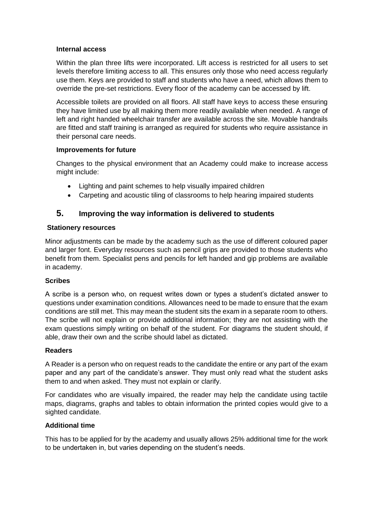#### **Internal access**

Within the plan three lifts were incorporated. Lift access is restricted for all users to set levels therefore limiting access to all. This ensures only those who need access regularly use them. Keys are provided to staff and students who have a need, which allows them to override the pre-set restrictions. Every floor of the academy can be accessed by lift.

Accessible toilets are provided on all floors. All staff have keys to access these ensuring they have limited use by all making them more readily available when needed. A range of left and right handed wheelchair transfer are available across the site. Movable handrails are fitted and staff training is arranged as required for students who require assistance in their personal care needs.

#### **Improvements for future**

Changes to the physical environment that an Academy could make to increase access might include:

- Lighting and paint schemes to help visually impaired children
- Carpeting and acoustic tiling of classrooms to help hearing impaired students

## **5. Improving the way information is delivered to students**

#### **Stationery resources**

Minor adjustments can be made by the academy such as the use of different coloured paper and larger font. Everyday resources such as pencil grips are provided to those students who benefit from them. Specialist pens and pencils for left handed and gip problems are available in academy.

#### **Scribes**

A scribe is a person who, on request writes down or types a student's dictated answer to questions under examination conditions. Allowances need to be made to ensure that the exam conditions are still met. This may mean the student sits the exam in a separate room to others. The scribe will not explain or provide additional information; they are not assisting with the exam questions simply writing on behalf of the student. For diagrams the student should, if able, draw their own and the scribe should label as dictated.

#### **Readers**

A Reader is a person who on request reads to the candidate the entire or any part of the exam paper and any part of the candidate's answer. They must only read what the student asks them to and when asked. They must not explain or clarify.

For candidates who are visually impaired, the reader may help the candidate using tactile maps, diagrams, graphs and tables to obtain information the printed copies would give to a sighted candidate.

#### **Additional time**

This has to be applied for by the academy and usually allows 25% additional time for the work to be undertaken in, but varies depending on the student's needs.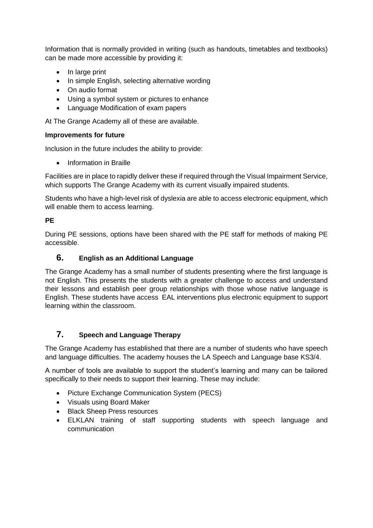Information that is normally provided in writing (such as handouts, timetables and textbooks) can be made more accessible by providing it:

- In large print
- In simple English, selecting alternative wording
- On audio format
- Using a symbol system or pictures to enhance
- Language Modification of exam papers

At The Grange Academy all of these are available.

#### **Improvements for future**

Inclusion in the future includes the ability to provide:

• Information in Braille

Facilities are in place to rapidly deliver these if required through the Visual Impairment Service, which supports The Grange Academy with its current visually impaired students.

Students who have a high-level risk of dyslexia are able to access electronic equipment, which will enable them to access learning.

#### **PE**

During PE sessions, options have been shared with the PE staff for methods of making PE accessible.

## **6. English as an Additional Language**

The Grange Academy has a small number of students presenting where the first language is not English. This presents the students with a greater challenge to access and understand their lessons and establish peer group relationships with those whose native language is English. These students have access EAL interventions plus electronic equipment to support learning within the classroom.

## **7. Speech and Language Therapy**

The Grange Academy has established that there are a number of students who have speech and language difficulties. The academy houses the LA Speech and Language base KS3/4.

A number of tools are available to support the student's learning and many can be tailored specifically to their needs to support their learning. These may include:

- Picture Exchange Communication System (PECS)
- Visuals using Board Maker
- Black Sheep Press resources
- ELKLAN training of staff supporting students with speech language and communication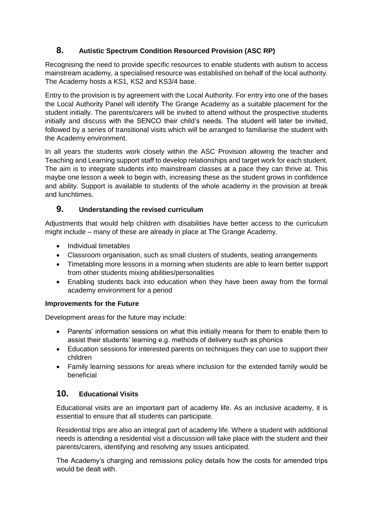## **8. Autistic Spectrum Condition Resourced Provision (ASC RP)**

Recognising the need to provide specific resources to enable students with autism to access mainstream academy, a specialised resource was established on behalf of the local authority. The Academy hosts a KS1, KS2 and KS3/4 base.

Entry to the provision is by agreement with the Local Authority. For entry into one of the bases the Local Authority Panel will identify The Grange Academy as a suitable placement for the student initially. The parents/carers will be invited to attend without the prospective students initially and discuss with the SENCO their child's needs. The student will later be invited, followed by a series of transitional visits which will be arranged to familiarise the student with the Academy environment.

In all years the students work closely within the ASC Provision allowing the teacher and Teaching and Learning support staff to develop relationships and target work for each student. The aim is to integrate students into mainstream classes at a pace they can thrive at. This maybe one lesson a week to begin with, increasing these as the student grows in confidence and ability. Support is available to students of the whole academy in the provision at break and lunchtimes.

## **9. Understanding the revised curriculum**

Adjustments that would help children with disabilities have better access to the curriculum might include – many of these are already in place at The Grange Academy.

- Individual timetables
- Classroom organisation, such as small clusters of students, seating arrangements
- Timetabling more lessons in a morning when students are able to learn better support from other students mixing abilities/personalities
- Enabling students back into education when they have been away from the formal academy environment for a period

#### **Improvements for the Future**

Development areas for the future may include:

- Parents' information sessions on what this initially means for them to enable them to assist their students' learning e.g. methods of delivery such as phonics
- Education sessions for interested parents on techniques they can use to support their children
- Family learning sessions for areas where inclusion for the extended family would be beneficial

## **10. Educational Visits**

Educational visits are an important part of academy life. As an inclusive academy, it is essential to ensure that all students can participate.

Residential trips are also an integral part of academy life. Where a student with additional needs is attending a residential visit a discussion will take place with the student and their parents/carers, identifying and resolving any issues anticipated.

The Academy's charging and remissions policy details how the costs for amended trips would be dealt with.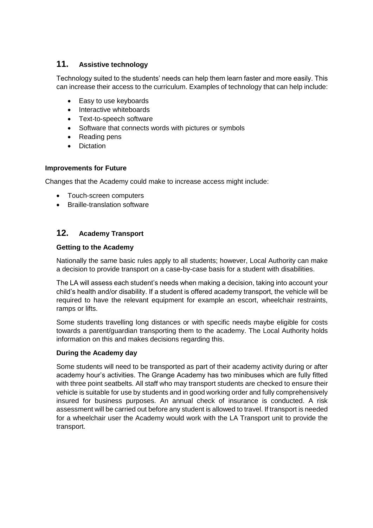## **11. Assistive technology**

Technology suited to the students' needs can help them learn faster and more easily. This can increase their access to the curriculum. Examples of technology that can help include:

- Easy to use keyboards
- Interactive whiteboards
- Text-to-speech software
- Software that connects words with pictures or symbols
- Reading pens
- **Dictation**

#### **Improvements for Future**

Changes that the Academy could make to increase access might include:

- Touch-screen computers
- Braille-translation software

## **12. Academy Transport**

#### **Getting to the Academy**

Nationally the same basic rules apply to all students; however, Local Authority can make a decision to provide transport on a case-by-case basis for a student with disabilities.

The LA will assess each student's needs when making a decision, taking into account your child's health and/or disability. If a student is offered academy transport, the vehicle will be required to have the relevant equipment for example an escort, wheelchair restraints, ramps or lifts.

Some students travelling long distances or with specific needs maybe eligible for costs towards a parent/guardian transporting them to the academy. The Local Authority holds information on this and makes decisions regarding this.

#### **During the Academy day**

Some students will need to be transported as part of their academy activity during or after academy hour's activities. The Grange Academy has two minibuses which are fully fitted with three point seatbelts. All staff who may transport students are checked to ensure their vehicle is suitable for use by students and in good working order and fully comprehensively insured for business purposes. An annual check of insurance is conducted. A risk assessment will be carried out before any student is allowed to travel. If transport is needed for a wheelchair user the Academy would work with the LA Transport unit to provide the transport.